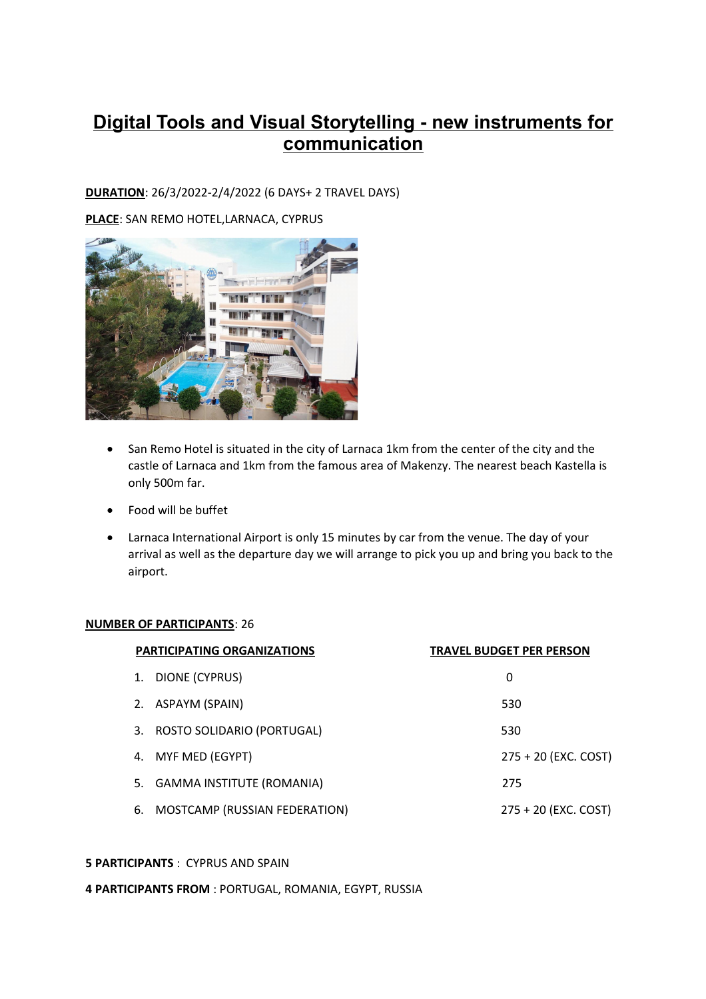# **Digital Tools and Visual Storytelling - new instruments for communication**

## **DURATION**: 26/3/2022-2/4/2022 (6 DAYS+ 2 TRAVEL DAYS)

**PLACE**: SAN REMO HOTEL,LARNACA, CYPRUS



- San Remo Hotel is situated in the city of Larnaca 1km from the center of the city and the castle of Larnaca and 1km from the famous area of Makenzy. The nearest beach Kastella is only 500m far.
- Food will be buffet
- Larnaca International Airport is only 15 minutes by car from the venue. The day of your arrival as well as the departure day we will arrange to pick you up and bring you back to the airport.

#### **NUMBER OF PARTICIPANTS**: 26

|    | <b>PARTICIPATING ORGANIZATIONS</b> | <b>TRAVEL BUDGET PER PERSON</b> |
|----|------------------------------------|---------------------------------|
|    | 1. DIONE (CYPRUS)                  | 0                               |
|    | 2. ASPAYM (SPAIN)                  | 530                             |
|    | 3. ROSTO SOLIDARIO (PORTUGAL)      | 530                             |
|    | 4. MYF MED (EGYPT)                 | 275 + 20 (EXC. COST)            |
|    | 5. GAMMA INSTITUTE (ROMANIA)       | 275                             |
| 6. | MOSTCAMP (RUSSIAN FEDERATION)      | 275 + 20 (EXC. COST)            |

#### **5 PARTICIPANTS** : CYPRUS AND SPAIN

**4 PARTICIPANTS FROM** : PORTUGAL, ROMANIA, EGYPT, RUSSIA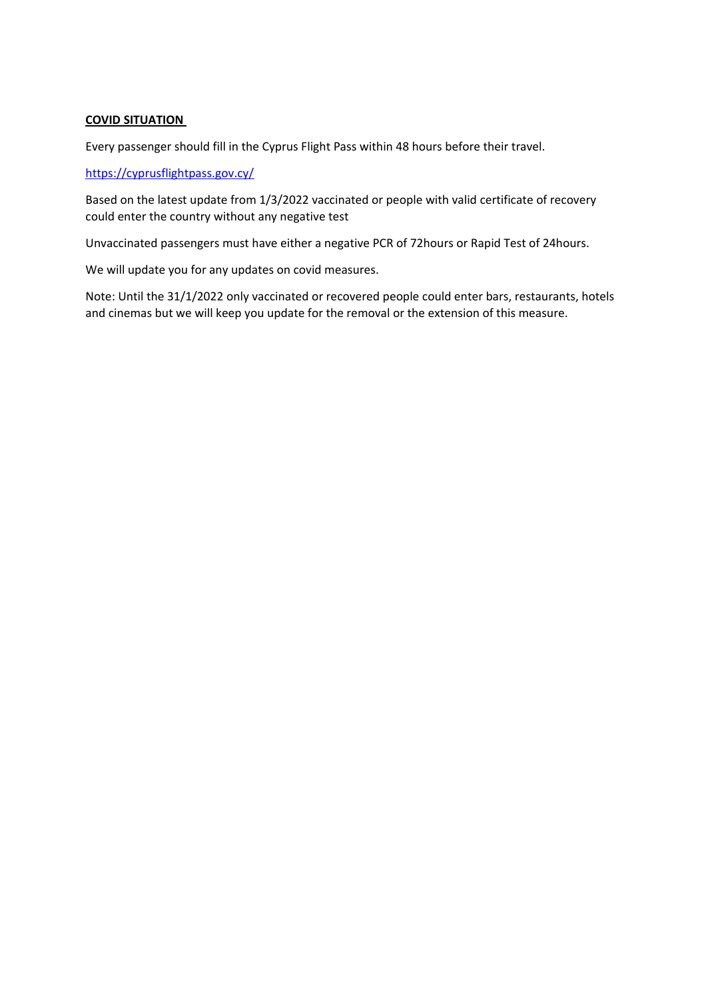### **COVID SITUATION**

Every passenger should fill in the Cyprus Flight Pass within 48 hours before their travel.

#### <https://cyprusflightpass.gov.cy/>

Based on the latest update from 1/3/2022 vaccinated or people with valid certificate of recovery could enter the country without any negative test

Unvaccinated passengers must have either a negative PCR of 72hours or Rapid Test of 24hours.

We will update you for any updates on covid measures.

Note: Until the 31/1/2022 only vaccinated or recovered people could enter bars, restaurants, hotels and cinemas but we will keep you update for the removal or the extension of this measure.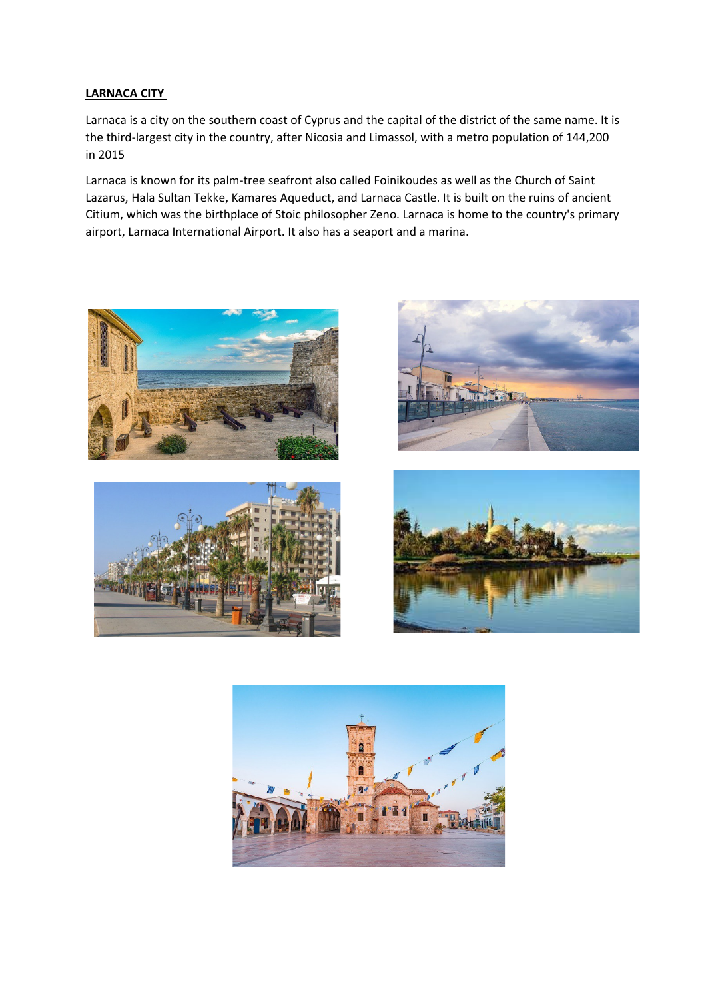#### **LARNACA CITY**

Larnaca is a city on the southern coast of Cyprus and the capital of the district of the same name. It is the third-largest city in the country, after Nicosia and Limassol, with a metro population of 144,200 in 2015

Larnaca is known for its palm-tree seafront also called Foinikoudes as well as the Church of Saint Lazarus, Hala Sultan Tekke, Kamares Aqueduct, and Larnaca Castle. It is built on the ruins of ancient Citium, which was the birthplace of Stoic philosopher Zeno. Larnaca is home to the country's primary airport, Larnaca International Airport. It also has a seaport and a marina.









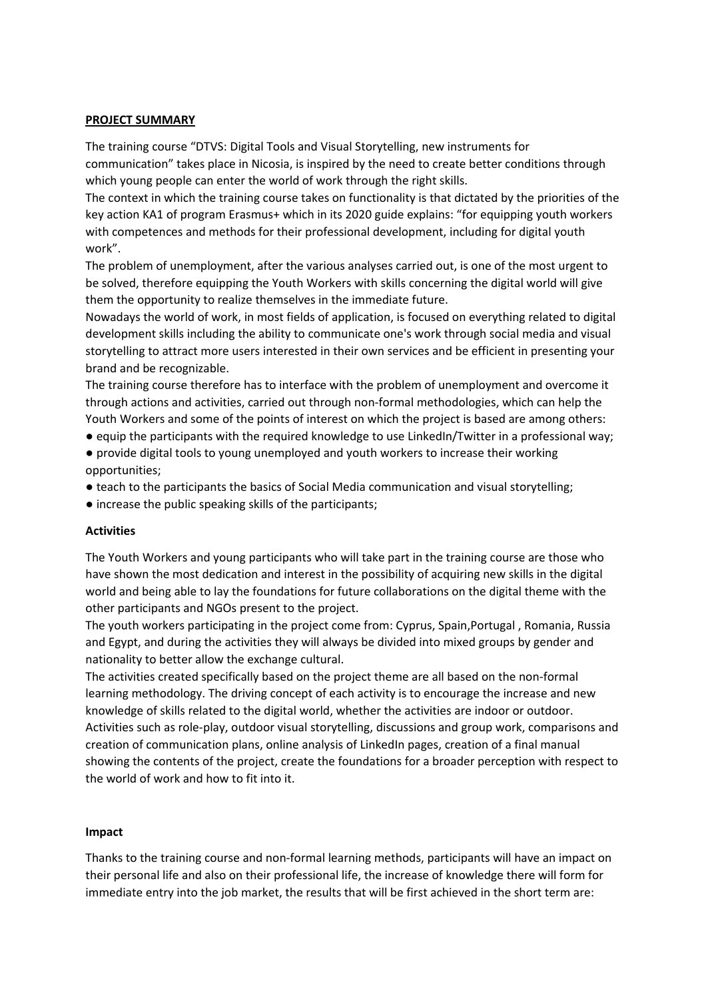#### **PROJECT SUMMARY**

The training course "DTVS: Digital Tools and Visual Storytelling, new instruments for communication" takes place in Nicosia, is inspired by the need to create better conditions through which young people can enter the world of work through the right skills.

The context in which the training course takes on functionality is that dictated by the priorities of the key action KA1 of program Erasmus+ which in its 2020 guide explains: "for equipping youth workers with competences and methods for their professional development, including for digital youth work".

The problem of unemployment, after the various analyses carried out, is one of the most urgent to be solved, therefore equipping the Youth Workers with skills concerning the digital world will give them the opportunity to realize themselves in the immediate future.

Nowadays the world of work, in most fields of application, is focused on everything related to digital development skills including the ability to communicate one's work through social media and visual storytelling to attract more users interested in their own services and be efficient in presenting your brand and be recognizable.

The training course therefore has to interface with the problem of unemployment and overcome it through actions and activities, carried out through non-formal methodologies, which can help the Youth Workers and some of the points of interest on which the project is based are among others:

- equip the participants with the required knowledge to use LinkedIn/Twitter in a professional way;
- provide digital tools to young unemployed and youth workers to increase their working opportunities;
- teach to the participants the basics of Social Media communication and visual storytelling;
- increase the public speaking skills of the participants;

#### **Activities**

The Youth Workers and young participants who will take part in the training course are those who have shown the most dedication and interest in the possibility of acquiring new skills in the digital world and being able to lay the foundations for future collaborations on the digital theme with the other participants and NGOs present to the project.

The youth workers participating in the project come from: Cyprus, Spain,Portugal , Romania, Russia and Egypt, and during the activities they will always be divided into mixed groups by gender and nationality to better allow the exchange cultural.

The activities created specifically based on the project theme are all based on the non-formal learning methodology. The driving concept of each activity is to encourage the increase and new knowledge of skills related to the digital world, whether the activities are indoor or outdoor. Activities such as role-play, outdoor visual storytelling, discussions and group work, comparisons and creation of communication plans, online analysis of LinkedIn pages, creation of a final manual showing the contents of the project, create the foundations for a broader perception with respect to the world of work and how to fit into it.

#### **Impact**

Thanks to the training course and non-formal learning methods, participants will have an impact on their personal life and also on their professional life, the increase of knowledge there will form for immediate entry into the job market, the results that will be first achieved in the short term are: